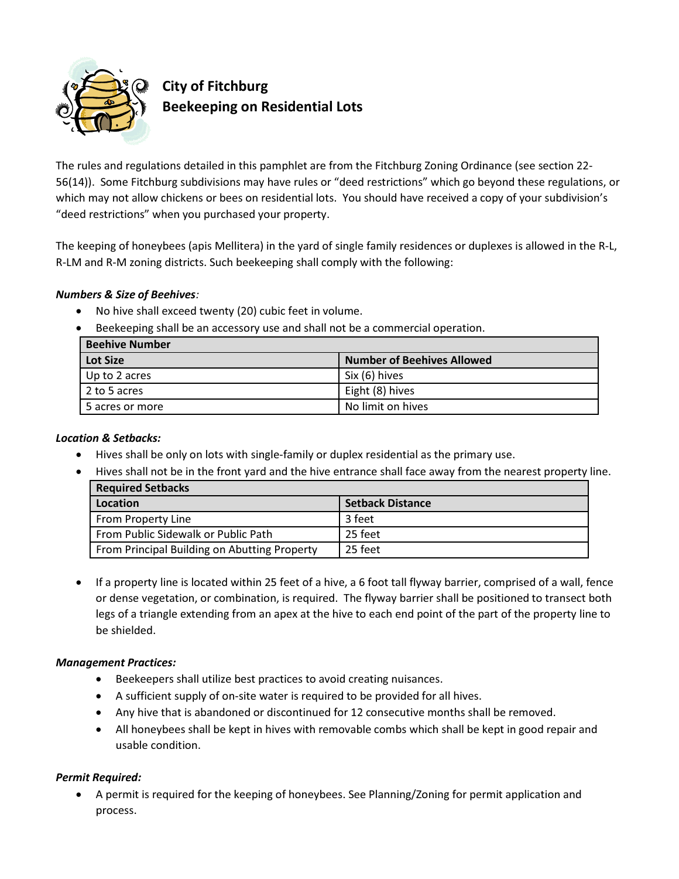

# **City of Fitchburg Beekeeping on Residential Lots**

The rules and regulations detailed in this pamphlet are from the Fitchburg Zoning Ordinance (see section 22-56(14)). Some Fitchburg subdivisions may have rules or "deed restrictions" which go beyond these regulations, or which may not allow chickens or bees on residential lots. You should have received a copy of your subdivision's "deed restrictions" when you purchased your property.

The keeping of honeybees (apis Mellitera) in the yard of single family residences or duplexes is allowed in the R-L, R-LM and R-M zoning districts. Such beekeeping shall comply with the following:

### **Numbers & Size of Beehives:**

- $\bullet$ No hive shall exceed twenty (20) cubic feet in volume.
- Beekeeping shall be an accessory use and shall not be a commercial operation.

| Beehive Number  |                                   |
|-----------------|-----------------------------------|
| Lot Size        | <b>Number of Beehives Allowed</b> |
| Up to 2 acres   | Six (6) hives                     |
| 2 to 5 acres    | Eight (8) hives                   |
| 5 acres or more | No limit on hives                 |

#### **Location & Setbacks:**

- Hives shall be only on lots with single-family or duplex residential as the primary use.  $\bullet$ 
	- Hives shall not be in the front yard and the hive entrance shall face away from the nearest property line.

| <b>Required Setbacks</b>                     |                         |
|----------------------------------------------|-------------------------|
| Location                                     | <b>Setback Distance</b> |
| From Property Line                           | 3 feet                  |
| <b>From Public Sidewalk or Public Path</b>   | 25 feet                 |
| From Principal Building on Abutting Property | 25 feet                 |

If a property line is located within 25 feet of a hive, a 6 foot tall flyway barrier, comprised of a wall, fence  $\bullet$ or dense vegetation, or combination, is required. The flyway barrier shall be positioned to transect both legs of a triangle extending from an apex at the hive to each end point of the part of the property line to be shielded.

## **Management Practices:**

- Beekeepers shall utilize best practices to avoid creating nuisances.
- A sufficient supply of on-site water is required to be provided for all hives.
- Any hive that is abandoned or discontinued for 12 consecutive months shall be removed.
- All honeybees shall be kept in hives with removable combs which shall be kept in good repair and usable condition.

## **Permit Required:**

A permit is required for the keeping of honeybees. See Planning/Zoning for permit application and  $\bullet$ process.